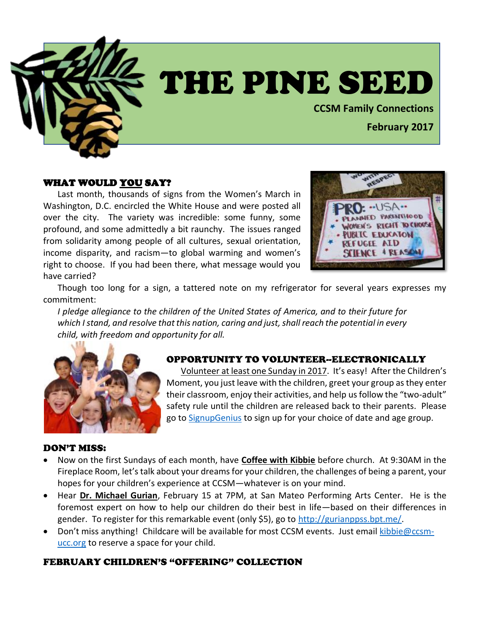

# THE PINE SEED

**CCSM Family Connections**

# **February 2017**

### WHAT WOULD YOU SAY?

Last month, thousands of signs from the Women's March in Washington, D.C. encircled the White House and were posted all over the city. The variety was incredible: some funny, some profound, and some admittedly a bit raunchy. The issues ranged from solidarity among people of all cultures, sexual orientation, income disparity, and racism—to global warming and women's right to choose. If you had been there, what message would you have carried?



Though too long for a sign, a tattered note on my refrigerator for several years expresses my commitment:

*I pledge allegiance to the children of the United States of America, and to their future for which I stand, and resolve that this nation, caring and just, shall reach the potential in every child, with freedom and opportunity for all.*



## OPPORTUNITY TO VOLUNTEER--ELECTRONICALLY

Volunteer at least one Sunday in 2017. It's easy! After the Children's Moment, you just leave with the children, greet your group as they enter their classroom, enjoy their activities, and help us follow the "two-adult" safety rule until the children are released back to their parents. Please go to [SignupGenius](http://www.signupgenius.com/go/30e0945abae1-childrens) to sign up for your choice of date and age group.

#### DON'T MISS:

- Now on the first Sundays of each month, have **Coffee with Kibbie** before church. At 9:30AM in the Fireplace Room, let's talk about your dreams for your children, the challenges of being a parent, your hopes for your children's experience at CCSM—whatever is on your mind.
- Hear **Dr. Michael Gurian**, February 15 at 7PM, at San Mateo Performing Arts Center. He is the foremost expert on how to help our children do their best in life—based on their differences in gender. To register for this remarkable event (only \$5), go to [http://gurianppss.bpt.me/.](http://gurianppss.bpt.me/)
- Don't miss anything! Childcare will be available for most CCSM events. Just email [kibbie@ccsm](mailto:kibbie@ccsm-ucc.org)[ucc.org](mailto:kibbie@ccsm-ucc.org) to reserve a space for your child.

## FEBRUARY CHILDREN'S "OFFERING" COLLECTION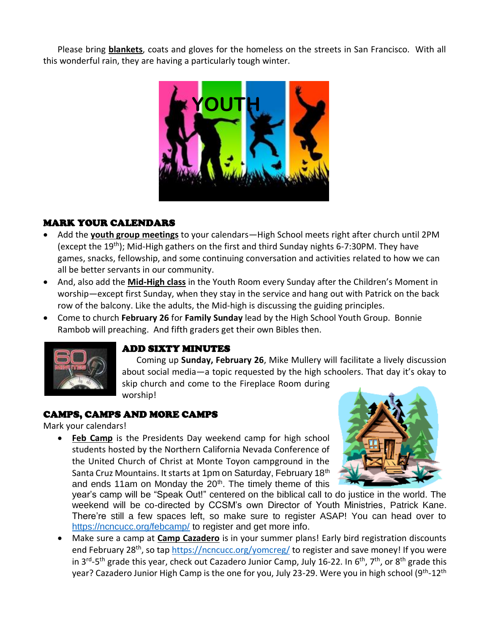Please bring **blankets**, coats and gloves for the homeless on the streets in San Francisco. With all this wonderful rain, they are having a particularly tough winter.



## MARK YOUR CALENDARS

- Add the **youth group meetings** to your calendars—High School meets right after church until 2PM (except the 19<sup>th</sup>); Mid-High gathers on the first and third Sunday nights 6-7:30PM. They have games, snacks, fellowship, and some continuing conversation and activities related to how we can all be better servants in our community.
- And, also add the **Mid-High class** in the Youth Room every Sunday after the Children's Moment in worship—except first Sunday, when they stay in the service and hang out with Patrick on the back row of the balcony. Like the adults, the Mid-high is discussing the guiding principles.
- Come to church **February 26** for **Family Sunday** lead by the High School Youth Group. Bonnie Rambob will preaching. And fifth graders get their own Bibles then.



## ADD SIXTY MINUTES

Coming up **Sunday, February 26**, Mike Mullery will facilitate a lively discussion about social media—a topic requested by the high schoolers. That day it's okay to skip church and come to the Fireplace Room during worship!

## CAMPS, CAMPS AND MORE CAMPS

Mark your calendars!

• **Feb Camp** is the Presidents Day weekend camp for high school students hosted by the Northern California Nevada Conference of the United Church of Christ at Monte Toyon campground in the Santa Cruz Mountains. It starts at 1pm on Saturday, February 18<sup>th</sup> and ends 11am on Monday the  $20<sup>th</sup>$ . The timely theme of this



year's camp will be "Speak Out!" centered on the biblical call to do justice in the world. The weekend will be co-directed by CCSM's own Director of Youth Ministries, Patrick Kane. There're still a few spaces left, so make sure to register ASAP! You can head over to <https://ncncucc.org/febcamp/> to register and get more info.

• Make sure a camp at **Camp Cazadero** is in your summer plans! Early bird registration discounts end February 28<sup>th</sup>, so ta[p https://ncncucc.org/yomcreg/](https://ncncucc.org/yomcreg/) to register and save money! If you were in 3<sup>rd</sup>-5<sup>th</sup> grade this year, check out Cazadero Junior Camp, July 16-22. In 6<sup>th</sup>, 7<sup>th</sup>, or 8<sup>th</sup> grade this year? Cazadero Junior High Camp is the one for you, July 23-29. Were you in high school (9<sup>th</sup>-12<sup>th</sup>